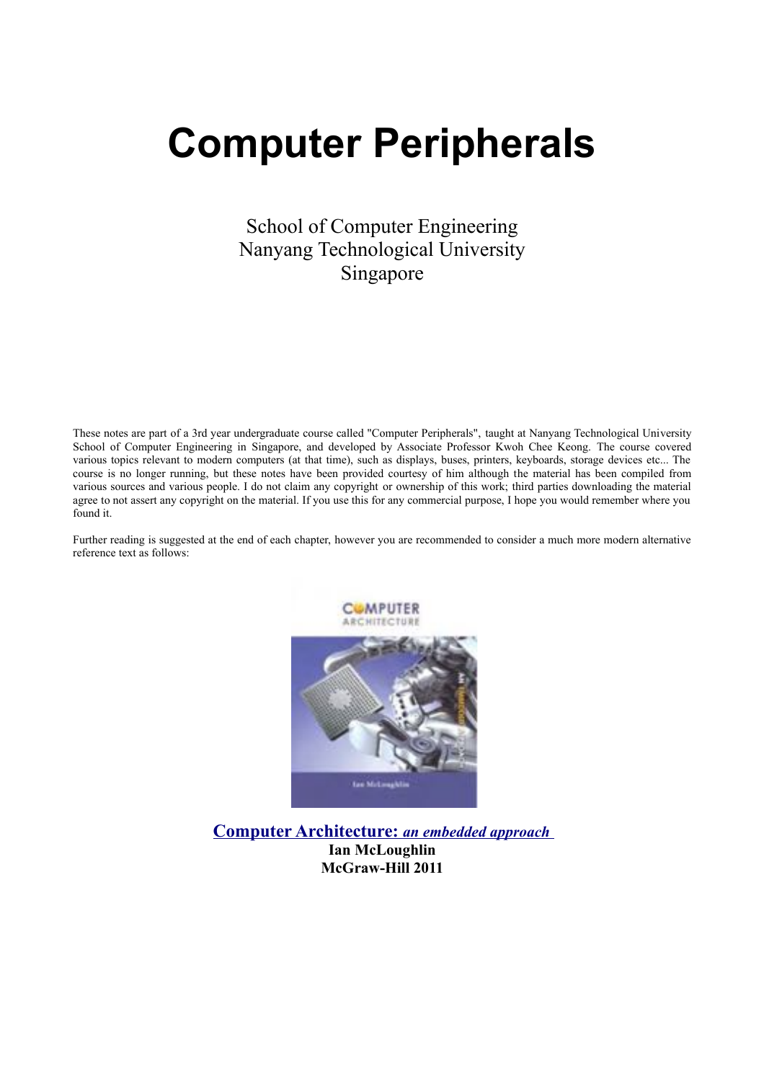# **Computer Peripherals**

School of Computer Engineering Nanyang Technological University Singapore

These notes are part of a 3rd year undergraduate course called "Computer Peripherals", taught at Nanyang Technological University School of Computer Engineering in Singapore, and developed by Associate Professor Kwoh Chee Keong. The course covered various topics relevant to modern computers (at that time), such as displays, buses, printers, keyboards, storage devices etc... The course is no longer running, but these notes have been provided courtesy of him although the material has been compiled from various sources and various people. I do not claim any copyright or ownership of this work; third parties downloading the material agree to not assert any copyright on the material. If you use this for any commercial purpose, I hope you would remember where you found it.

Further reading is suggested at the end of each chapter, however you are recommended to consider a much more modern alternative reference text as follows:



 **[Computer Architecture:](http://novella.mhhe.com/sites/0071311181/information_center_view0/)** *an embedded approach* **Ian McLoughlin McGraw-Hill 2011**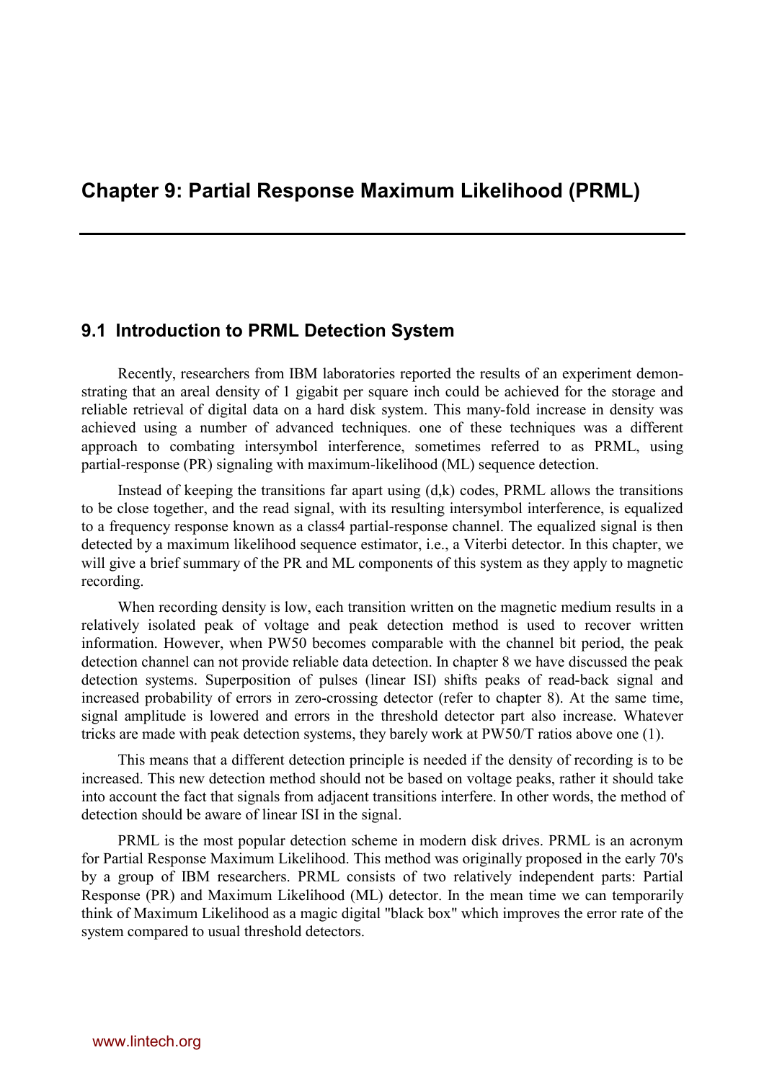# **Chapter 9: Partial Response Maximum Likelihood (PRML)**

## **9.1 Introduction to PRML Detection System**

Recently, researchers from IBM laboratories reported the results of an experiment demonstrating that an areal density of 1 gigabit per square inch could be achieved for the storage and reliable retrieval of digital data on a hard disk system. This many-fold increase in density was achieved using a number of advanced techniques. one of these techniques was a different approach to combating intersymbol interference, sometimes referred to as PRML, using partial-response (PR) signaling with maximum-likelihood (ML) sequence detection.

Instead of keeping the transitions far apart using  $(d,k)$  codes, PRML allows the transitions to be close together, and the read signal, with its resulting intersymbol interference, is equalized to a frequency response known as a class4 partial-response channel. The equalized signal is then detected by a maximum likelihood sequence estimator, i.e., a Viterbi detector. In this chapter, we will give a brief summary of the PR and ML components of this system as they apply to magnetic recording.

When recording density is low, each transition written on the magnetic medium results in a relatively isolated peak of voltage and peak detection method is used to recover written information. However, when PW50 becomes comparable with the channel bit period, the peak detection channel can not provide reliable data detection. In chapter 8 we have discussed the peak detection systems. Superposition of pulses (linear ISI) shifts peaks of read-back signal and increased probability of errors in zero-crossing detector (refer to chapter 8). At the same time, signal amplitude is lowered and errors in the threshold detector part also increase. Whatever tricks are made with peak detection systems, they barely work at PW50/T ratios above one (1).

This means that a different detection principle is needed if the density of recording is to be increased. This new detection method should not be based on voltage peaks, rather it should take into account the fact that signals from adjacent transitions interfere. In other words, the method of detection should be aware of linear ISI in the signal.

PRML is the most popular detection scheme in modern disk drives. PRML is an acronym for Partial Response Maximum Likelihood. This method was originally proposed in the early 70's by a group of IBM researchers. PRML consists of two relatively independent parts: Partial Response (PR) and Maximum Likelihood (ML) detector. In the mean time we can temporarily think of Maximum Likelihood as a magic digital "black box" which improves the error rate of the system compared to usual threshold detectors.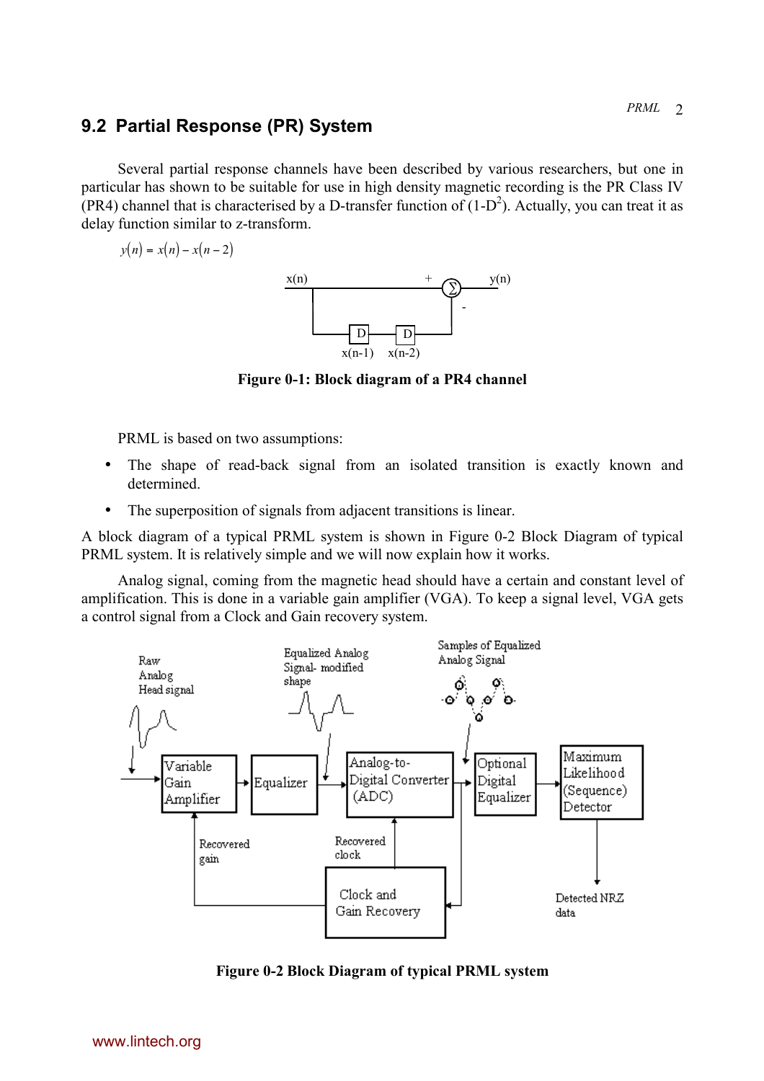## <span id="page-2-0"></span>**9.2 Partial Response (PR) System**

Several partial response channels have been described by various researchers, but one in particular has shown to be suitable for use in high density magnetic recording is the PR Class IV (PR4) channel that is characterised by a D-transfer function of  $(1-D^2)$ . Actually, you can treat it as delay function similar to z-transform.

$$
y(n) = x(n) - x(n-2)
$$



**Figure 0-1: Block diagram of a PR4 channel**

PRML is based on two assumptions:

- The shape of read-back signal from an isolated transition is exactly known and determined.
- The superposition of signals from adjacent transitions is linear.

A block diagram of a typical PRML system is shown in Figure 0-2 Block Diagram of typical PRML system. It is relatively simple and we will now explain how it works.

Analog signal, coming from the magnetic head should have a certain and constant level of amplification. This is done in a variable gain amplifier (VGA). To keep a signal level, VGA gets a control signal from a Clock and Gain recovery system.



**Figure 0-2 Block Diagram of typical PRML system**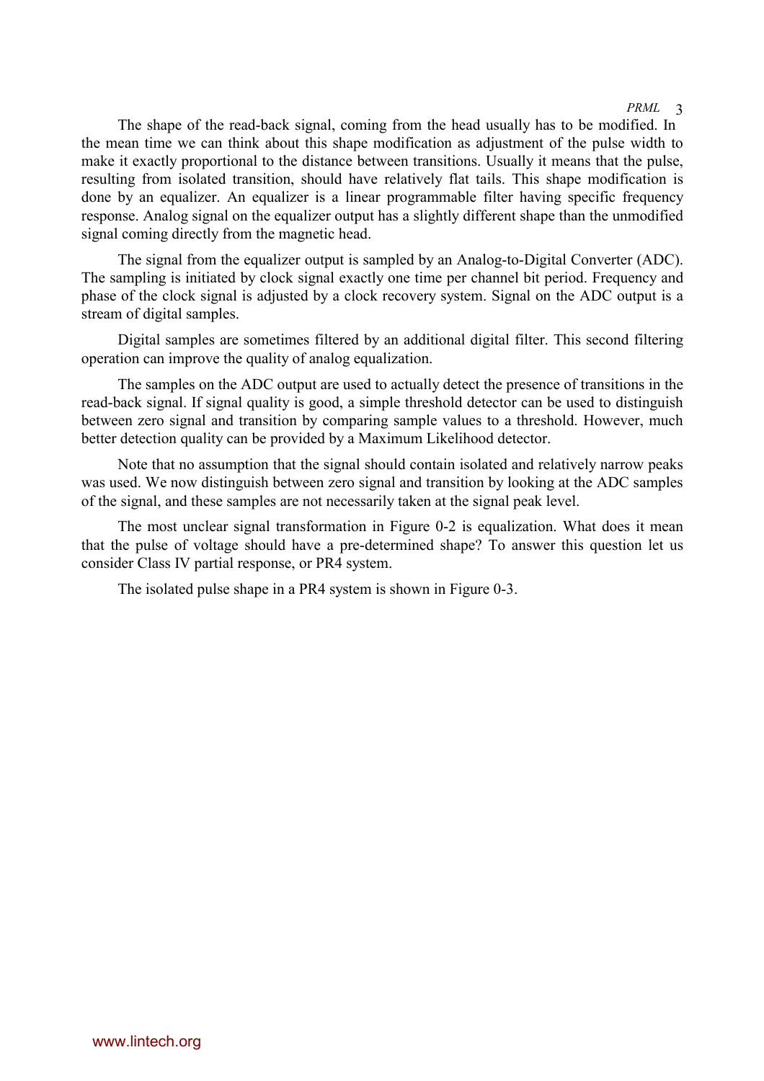The shape of the read-back signal, coming from the head usually has to be modified. In the mean time we can think about this shape modification as adjustment of the pulse width to make it exactly proportional to the distance between transitions. Usually it means that the pulse, resulting from isolated transition, should have relatively flat tails. This shape modification is done by an equalizer. An equalizer is a linear programmable filter having specific frequency response. Analog signal on the equalizer output has a slightly different shape than the unmodified signal coming directly from the magnetic head.

The signal from the equalizer output is sampled by an Analog-to-Digital Converter (ADC). The sampling is initiated by clock signal exactly one time per channel bit period. Frequency and phase of the clock signal is adjusted by a clock recovery system. Signal on the ADC output is a stream of digital samples.

Digital samples are sometimes filtered by an additional digital filter. This second filtering operation can improve the quality of analog equalization.

The samples on the ADC output are used to actually detect the presence of transitions in the read-back signal. If signal quality is good, a simple threshold detector can be used to distinguish between zero signal and transition by comparing sample values to a threshold. However, much better detection quality can be provided by a Maximum Likelihood detector.

Note that no assumption that the signal should contain isolated and relatively narrow peaks was used. We now distinguish between zero signal and transition by looking at the ADC samples of the signal, and these samples are not necessarily taken at the signal peak level.

The most unclear signal transformation in [Figure 0-2](#page-2-0) is equalization. What does it mean that the pulse of voltage should have a pre-determined shape? To answer this question let us consider Class IV partial response, or PR4 system.

The isolated pulse shape in a PR4 system is shown in [Figure 0-3.](#page-4-0)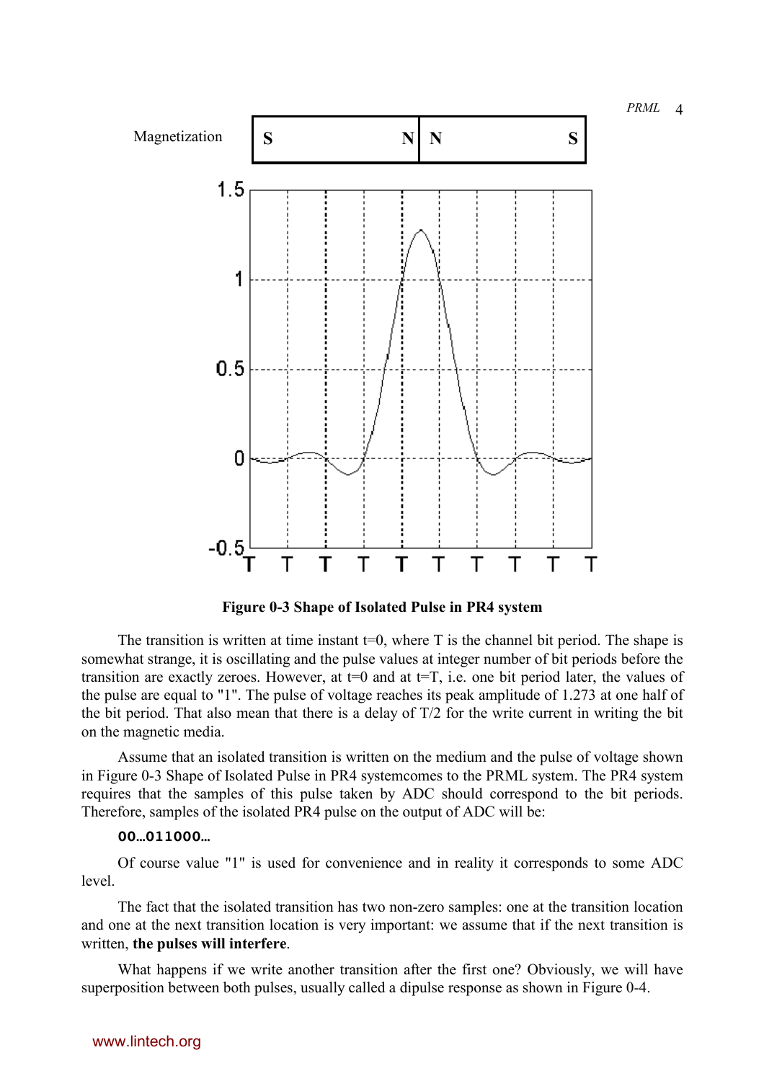<span id="page-4-0"></span>

**Figure 0-3 Shape of Isolated Pulse in PR4 system**

The transition is written at time instant  $t=0$ , where T is the channel bit period. The shape is somewhat strange, it is oscillating and the pulse values at integer number of bit periods before the transition are exactly zeroes. However, at  $t=0$  and at  $t=T$ , i.e. one bit period later, the values of the pulse are equal to "1". The pulse of voltage reaches its peak amplitude of 1.273 at one half of the bit period. That also mean that there is a delay of T/2 for the write current in writing the bit on the magnetic media.

Assume that an isolated transition is written on the medium and the pulse of voltage shown in Figure 0-3 Shape of Isolated Pulse in PR4 systemcomes to the PRML system. The PR4 system requires that the samples of this pulse taken by ADC should correspond to the bit periods. Therefore, samples of the isolated PR4 pulse on the output of ADC will be:

### **00…011000…**

Of course value "1" is used for convenience and in reality it corresponds to some ADC level.

The fact that the isolated transition has two non-zero samples: one at the transition location and one at the next transition location is very important: we assume that if the next transition is written, **the pulses will interfere**.

What happens if we write another transition after the first one? Obviously, we will have superposition between both pulses, usually called a dipulse response as shown in [Figure 0-4.](#page-5-0)

## www.lintech.org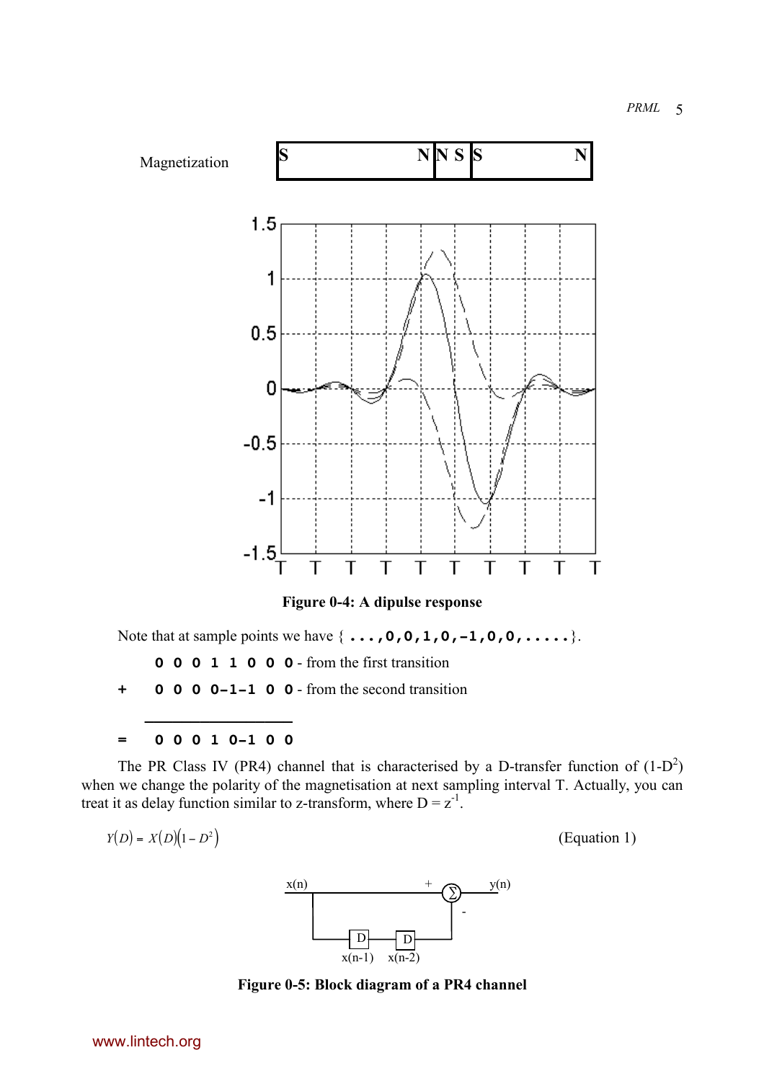<span id="page-5-0"></span>

**Figure 0-4: A dipulse response**

Note that at sample points we have { **...,0,0,1,0,-1,0,0,.....**}.

- **0 0 0 1 1 0 0 0** from the first transition
- **+ 0 0 0 0-1-1 0 0** from the second transition

 **\_\_\_\_\_\_\_\_\_\_\_\_\_\_\_\_ = 0 0 0 1 0-1 0 0**

The PR Class IV (PR4) channel that is characterised by a D-transfer function of  $(1-D^2)$ when we change the polarity of the magnetisation at next sampling interval T. Actually, you can treat it as delay function similar to z-transform, where  $D = z<sup>-1</sup>$ .

$$
Y(D) = X(D)(1 - D2)
$$

*YD XD D* () () <sup>=</sup> ( ) <sup>1</sup><sup>−</sup> <sup>2</sup> (Equation 1)



**Figure 0-5: Block diagram of a PR4 channel**

www.lintech.org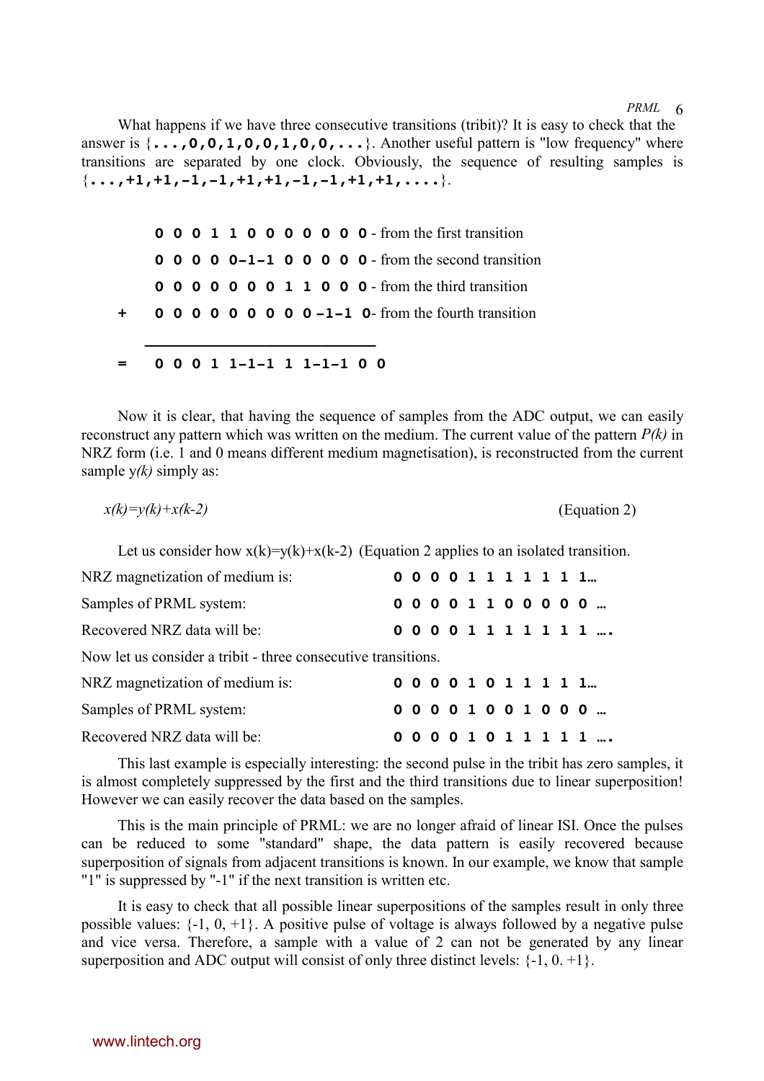What happens if we have three consecutive transitions (tribit)? It is easy to check that the answer is  $\{\ldots, 0, 0, 1, 0, 0, 1, 0, 0, \ldots\}$ . Another useful pattern is "low frequency" where transitions are separated by one clock. Obviously, the sequence of resulting samples is  $\{\ldots, +1, +1, -1, -1, +1, +1, -1, -1, +1, +1, \ldots\}$ .

|  |  |  |  |  |  | <b>0 0 0 1 1 0 0 0 0 0 0 0 -</b> from the first transition     |  |
|--|--|--|--|--|--|----------------------------------------------------------------|--|
|  |  |  |  |  |  | <b>0 0 0 0 0 -1-1 0 0 0 0 0 -</b> from the second transition   |  |
|  |  |  |  |  |  | <b>0 0 0 0 0 0 1 1 0 0 0</b> - from the third transition       |  |
|  |  |  |  |  |  | $\bullet$ 0 0 0 0 0 0 0 0 0 -1-1 0- from the fourth transition |  |
|  |  |  |  |  |  |                                                                |  |
|  |  |  |  |  |  | $0\; 0\; 0\; 1\; 1-1-1\; 1\; 1-1-1\; 0\; 0$                    |  |

Now it is clear, that having the sequence of samples from the ADC output, we can easily reconstruct any pattern which was written on the medium. The current value of the pattern *P(k)* in NRZ form (i.e. 1 and 0 means different medium magnetisation), is reconstructed from the current sample y*(k)* simply as:

$$
x(k)=y(k)+x(k-2)
$$
 (Equation 2)

Let us consider how  $x(k)=y(k)+x(k-2)$  (Equation 2 applies to an isolated transition.

| NRZ magnetization of medium is:                               |  |  |  |  |  | 00001111111           |             |
|---------------------------------------------------------------|--|--|--|--|--|-----------------------|-------------|
| Samples of PRML system:                                       |  |  |  |  |  | 000001100000          |             |
| Recovered NRZ data will be:                                   |  |  |  |  |  |                       | 00001111111 |
| Now let us consider a tribit - three consecutive transitions. |  |  |  |  |  |                       |             |
| NRZ magnetization of medium is:                               |  |  |  |  |  | 0 0 0 0 1 0 1 1 1 1 1 |             |
| Samples of PRML system:                                       |  |  |  |  |  | 00001001000           |             |
| Recovered NRZ data will be:                                   |  |  |  |  |  |                       | 00001011111 |

This last example is especially interesting: the second pulse in the tribit has zero samples, it is almost completely suppressed by the first and the third transitions due to linear superposition! However we can easily recover the data based on the samples.

This is the main principle of PRML: we are no longer afraid of linear ISI. Once the pulses can be reduced to some "standard" shape, the data pattern is easily recovered because superposition of signals from adjacent transitions is known. In our example, we know that sample "1" is suppressed by "-1" if the next transition is written etc.

It is easy to check that all possible linear superpositions of the samples result in only three possible values:  $\{-1, 0, +1\}$ . A positive pulse of voltage is always followed by a negative pulse and vice versa. Therefore, a sample with a value of 2 can not be generated by any linear superposition and ADC output will consist of only three distinct levels:  $\{-1, 0, +1\}$ .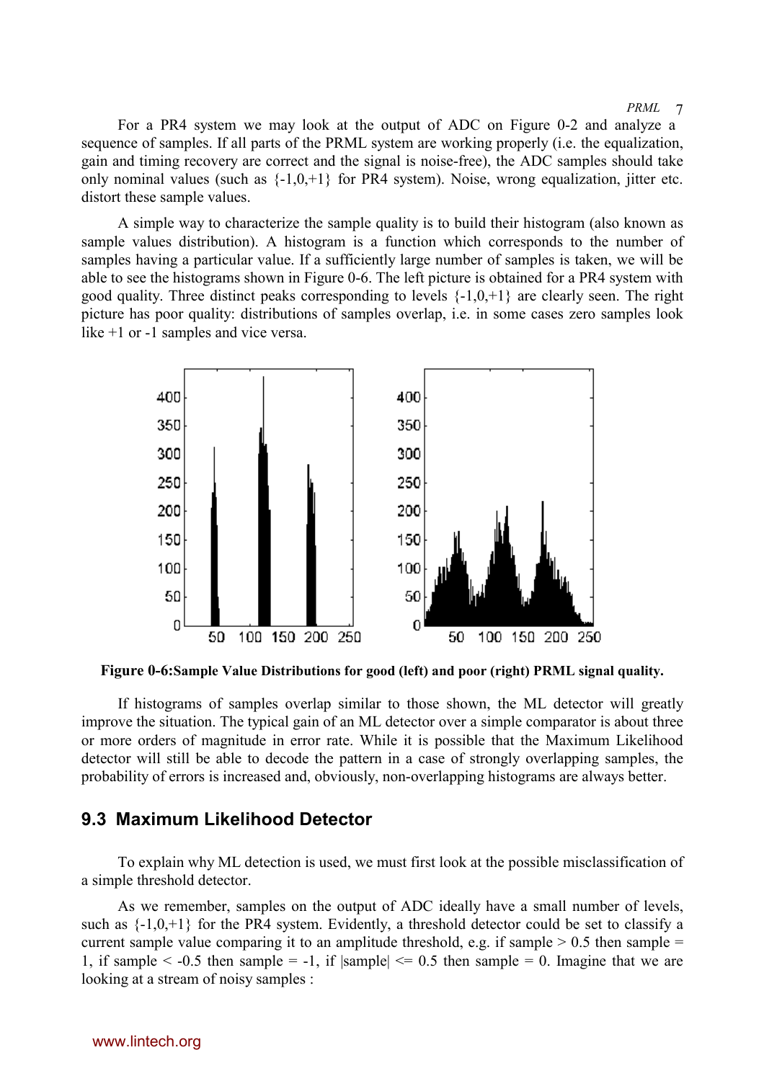For a PR4 system we may look at the output of A[DC on Figu](#page-2-0)re 0-2 and analyze a sequence of samples. If all parts of the PRML system are working properly (i.e. the equalization, gain and timing recovery are correct and the signal is noise-free), the ADC samples should take only nominal values (such as  $\{-1,0,+1\}$  for PR4 system). Noise, wrong equalization, jitter etc. distort these sample values.

A simple way to characterize the sample quality is to build their histogram (also known as sample values distribution). A histogram is a function which corresponds to the number of samples having a particular value. If a sufficiently large number of samples is taken, we will be able to see the histograms shown in Figure 0-6. The left picture is obtained for a PR4 system with good quality. Three distinct peaks corresponding to levels  $\{-1,0,+1\}$  are clearly seen. The right picture has poor quality: distributions of samples overlap, i.e. in some cases zero samples look like +1 or -1 samples and vice versa.



**Figure 0-6:Sample Value Distributions for good (left) and poor (right) PRML signal quality.**

If histograms of samples overlap similar to those shown, the ML detector will greatly improve the situation. The typical gain of an ML detector over a simple comparator is about three or more orders of magnitude in error rate. While it is possible that the Maximum Likelihood detector will still be able to decode the pattern in a case of strongly overlapping samples, the probability of errors is increased and, obviously, non-overlapping histograms are always better.

## **9.3 Maximum Likelihood Detector**

To explain why ML detection is used, we must first look at the possible misclassification of a simple threshold detector.

As we remember, samples on the output of ADC ideally have a small number of levels, such as  $\{-1,0,+1\}$  for the PR4 system. Evidently, a threshold detector could be set to classify a current sample value comparing it to an amplitude threshold, e.g. if sample  $> 0.5$  then sample  $=$ 1, if sample  $\le$  -0.5 then sample = -1, if  $|{\rm sample}| \le 0.5$  then sample = 0. Imagine that we are looking at a stream of noisy samples :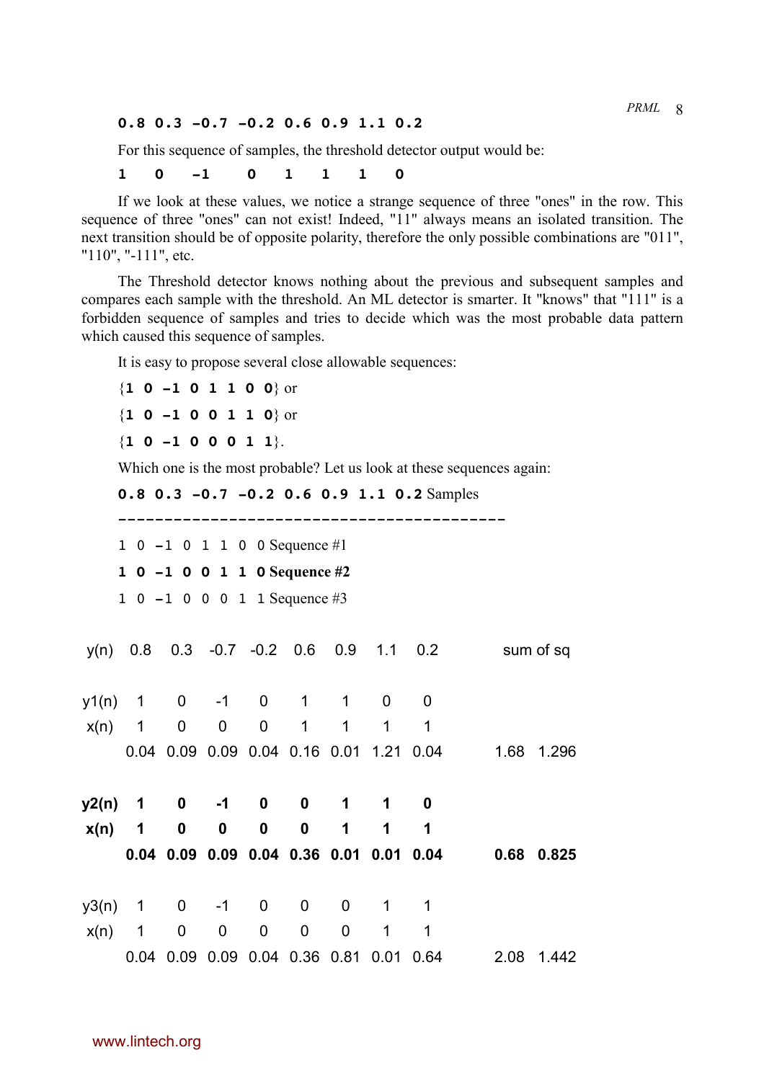#### **0.8 0.3 -0.7 -0.2 0.6 0.9 1.1 0.2**

For this sequence of samples, the threshold detector output would be:

#### **1 0 -1 0 1 1 1 0**

If we look at these values, we notice a strange sequence of three "ones" in the row. This sequence of three "ones" can not exist! Indeed, "11" always means an isolated transition. The next transition should be of opposite polarity, therefore the only possible combinations are "011", "110", "-111", etc.

The Threshold detector knows nothing about the previous and subsequent samples and compares each sample with the threshold. An ML detector is smarter. It "knows" that "111" is a forbidden sequence of samples and tries to decide which was the most probable data pattern which caused this sequence of samples.

It is easy to propose several close allowable sequences:

{**1 0 -1 0 1 1 0 0**} or {**1 0 -1 0 0 1 1 0**} or {**1 0 -1 0 0 0 1 1**}. Which one is the most probable? Let us look at these sequences again: **0.8 0.3 -0.7 -0.2 0.6 0.9 1.1 0.2** Samples ------------------------------------------ 1 0 -1 0 1 1 0 0 Sequence #1 **1 0 -1 0 0 1 1 0 Sequence #2** 1 0 -1 0 0 0 1 1 Sequence #3 y(n) 0.8 0.3 -0.7 -0.2 0.6 0.9 1.1 0.2 sum of sq y1(n) 1 0 -1 0 1 1 0 0 x(n) 1 0 0 0 1 1 1 1 0.04 0.09 0.09 0.04 0.16 0.01 1.21 0.04 1.68 1.296 **y2(n) 1 0 -1 0 0 1 1 0 x(n) 1 0 0 0 0 1 1 1 0.04 0.09 0.09 0.04 0.36 0.01 0.01 0.04 0.68 0.825** y3(n) 1 0 -1 0 0 0 1 1 x(n) 1 0 0 0 0 0 1 1 0.04 0.09 0.09 0.04 0.36 0.81 0.01 0.64 2.08 1.442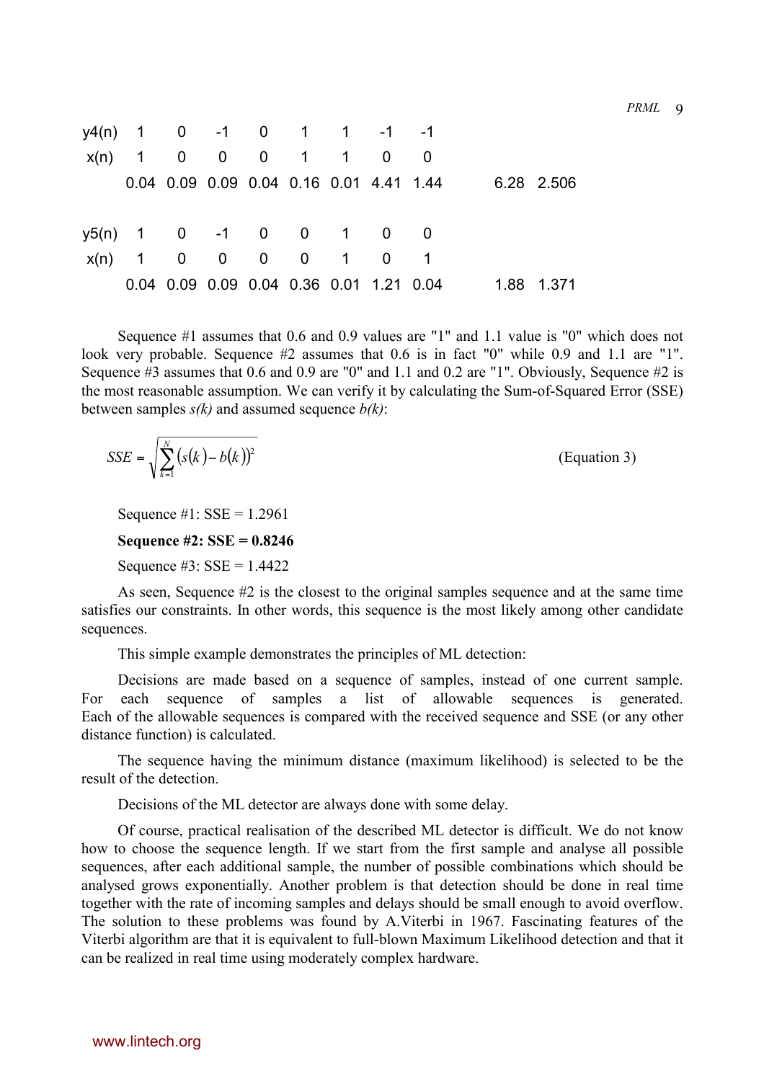|                          |  |  |  | $y4(n)$ 1 0 -1 0 1 1 -1 -1              |  |            |
|--------------------------|--|--|--|-----------------------------------------|--|------------|
|                          |  |  |  | $x(n)$ 1 0 0 0 1 1 0 0                  |  |            |
|                          |  |  |  | 0.04 0.09 0.09 0.04 0.16 0.01 4.41 1.44 |  | 6.28 2.506 |
|                          |  |  |  |                                         |  |            |
| $y5(n)$ 1 0 -1 0 0 1 0 0 |  |  |  |                                         |  |            |
|                          |  |  |  | $x(n)$ 1 0 0 0 0 1 0 1                  |  |            |
|                          |  |  |  | 0.04 0.09 0.09 0.04 0.36 0.01 1.21 0.04 |  | 1.88 1.371 |

Sequence #1 assumes that 0.6 and 0.9 values are "1" and 1.1 value is "0" which does not look very probable. Sequence #2 assumes that 0.6 is in fact "0" while 0.9 and 1.1 are "1". Sequence #3 assumes that 0.6 and 0.9 are "0" and 1.1 and 0.2 are "1". Obviously, Sequence #2 is the most reasonable assumption. We can verify it by calculating the Sum-of-Squared Error (SSE) between samples *s(k)* and assumed sequence *b(k)*:

$$
SSE = \sqrt{\sum_{k=1}^{N} (s(k) - b(k))^2}
$$
 (Equation 3)

Sequence  $#1$ : SSE = 1.2961

**Sequence #2: SSE = 0.8246**

Sequence  $#3$ : SSE = 1.4422

As seen, Sequence #2 is the closest to the original samples sequence and at the same time satisfies our constraints. In other words, this sequence is the most likely among other candidate sequences.

This simple example demonstrates the principles of ML detection:

Decisions are made based on a sequence of samples, instead of one current sample. For each sequence of samples a list of allowable sequences is generated. Each of the allowable sequences is compared with the received sequence and SSE (or any other distance function) is calculated.

The sequence having the minimum distance (maximum likelihood) is selected to be the result of the detection.

Decisions of the ML detector are always done with some delay.

Of course, practical realisation of the described ML detector is difficult. We do not know how to choose the sequence length. If we start from the first sample and analyse all possible sequences, after each additional sample, the number of possible combinations which should be analysed grows exponentially. Another problem is that detection should be done in real time together with the rate of incoming samples and delays should be small enough to avoid overflow. The solution to these problems was found by A.Viterbi in 1967. Fascinating features of the Viterbi algorithm are that it is equivalent to full-blown Maximum Likelihood detection and that it can be realized in real time using moderately complex hardware.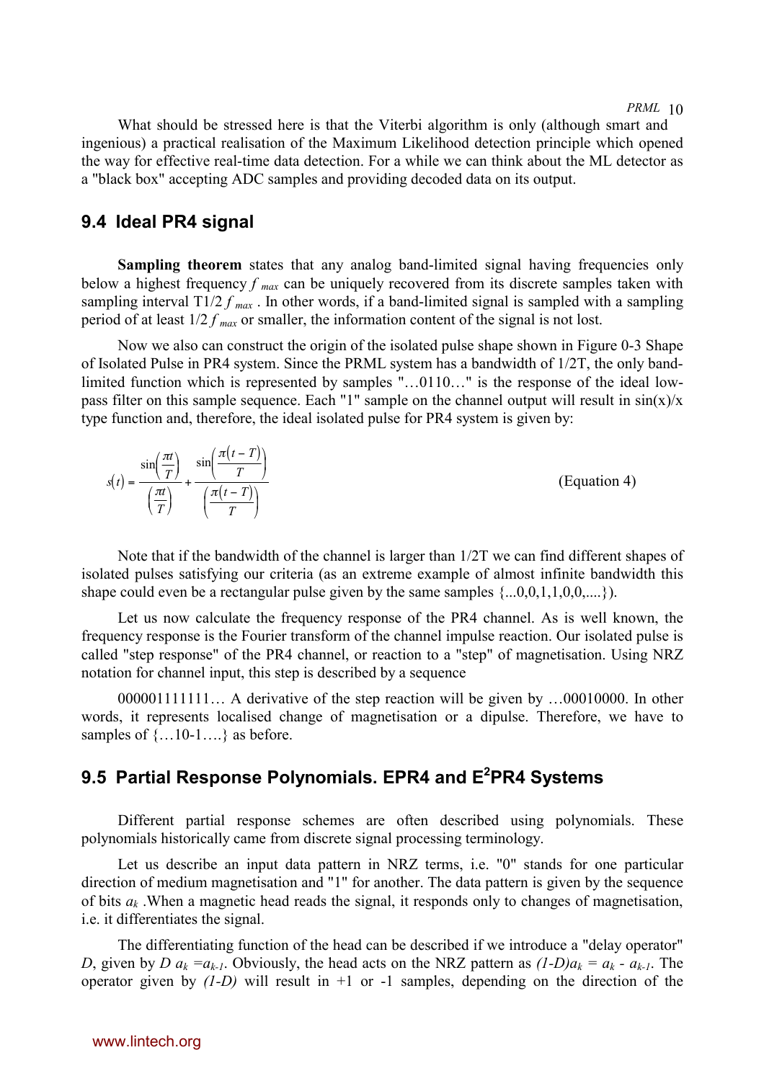What should be stressed here is that the Viterbi algorithm is only (although smart and ingenious) a practical realisation of the Maximum Likelihood detection principle which opened the way for effective real-time data detection. For a while we can think about the ML detector as a "black box" accepting ADC samples and providing decoded data on its output.

## **9.4 Ideal PR4 signal**

**Sampling theorem** states that any analog band-limited signal having frequencies only below a highest frequency *f max* can be uniquely recovered from its discrete samples taken with sampling interval  $T\frac{1}{2} f_{max}$ . In other words, if a band-limited signal is sampled with a sampling period of at least 1/2 *f max* or smaller, the information content of the signal is not lost.

Now we also can construct the origin of the isolated pulse shape shown in [Figure 0-3 Shape](#page-4-0) [of Isolated Pulse in PR4 system.](#page-4-0) Since the PRML system has a bandwidth of 1/2T, the only bandlimited function which is represented by samples "…0110…" is the response of the ideal lowpass filter on this sample sequence. Each "1" sample on the channel output will result in  $sin(x)/x$ type function and, therefore, the ideal isolated pulse for PR4 system is given by:

| $\mathbf{\tau}$<br>$\pi$<br>πt<br>$\cdot$<br>$\cdot$<br>sın<br>sin<br>$\sim$<br>m<br>st t<br>$\mathbf{r}$<br>πt<br>$\pi$ $t$<br>$\overline{\phantom{a}}$<br>$\tau$<br>$\mathbf{u}$ | (Equation 4) |
|------------------------------------------------------------------------------------------------------------------------------------------------------------------------------------|--------------|
|------------------------------------------------------------------------------------------------------------------------------------------------------------------------------------|--------------|

Note that if the bandwidth of the channel is larger than 1/2T we can find different shapes of isolated pulses satisfying our criteria (as an extreme example of almost infinite bandwidth this shape could even be a rectangular pulse given by the same samples  $\{...0,0,1,1,0,0,...\}$ .

Let us now calculate the frequency response of the PR4 channel. As is well known, the frequency response is the Fourier transform of the channel impulse reaction. Our isolated pulse is called "step response" of the PR4 channel, or reaction to a "step" of magnetisation. Using NRZ notation for channel input, this step is described by a sequence

000001111111… A derivative of the step reaction will be given by …00010000. In other words, it represents localised change of magnetisation or a dipulse. Therefore, we have to samples of  $\{...10-1...\}$  as before.

# **9.5 Partial Response Polynomials. EPR4 and E2 PR4 Systems**

Different partial response schemes are often described using polynomials. These polynomials historically came from discrete signal processing terminology.

Let us describe an input data pattern in NRZ terms, i.e. "0" stands for one particular direction of medium magnetisation and "1" for another. The data pattern is given by the sequence of bits *ak* .When a magnetic head reads the signal, it responds only to changes of magnetisation, i.e. it differentiates the signal.

The differentiating function of the head can be described if we introduce a "delay operator" *D*, given by *D*  $a_k = a_{k-1}$ . Obviously, the head acts on the NRZ pattern as  $(1-D)a_k = a_k - a_{k-1}$ . The operator given by *(1-D)* will result in +1 or -1 samples, depending on the direction of the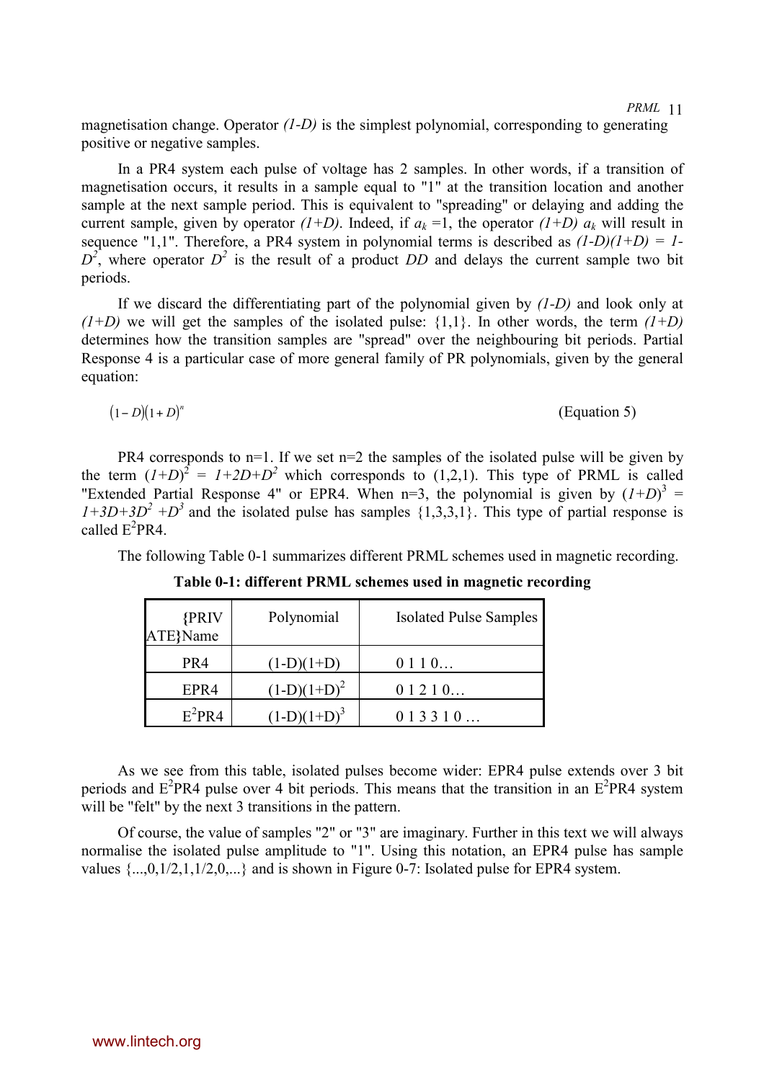magnetisation change. Operator *(1-D)* is the simplest polynomial, corresponding to generating positive or negative samples.

In a PR4 system each pulse of voltage has 2 samples. In other words, if a transition of magnetisation occurs, it results in a sample equal to "1" at the transition location and another sample at the next sample period. This is equivalent to "spreading" or delaying and adding the current sample, given by operator  $(I+D)$ . Indeed, if  $a_k = 1$ , the operator  $(I+D)$   $a_k$  will result in sequence "1,1". Therefore, a PR4 system in polynomial terms is described as *(1-D)(1+D) = 1-*  $D^2$ , where operator  $D^2$  is the result of a product *DD* and delays the current sample two bit periods.

If we discard the differentiating part of the polynomial given by *(1-D)* and look only at  $(1+D)$  we will get the samples of the isolated pulse:  $\{1,1\}$ . In other words, the term  $(1+D)$ determines how the transition samples are "spread" over the neighbouring bit periods. Partial Response 4 is a particular case of more general family of PR polynomials, given by the general equation:

$$
(1-D)(1+D)^n
$$
 (Equation 5)

PR4 corresponds to n=1. If we set n=2 the samples of the isolated pulse will be given by the term  $(I+D)^2 = I+2D+D^2$  which corresponds to (1,2,1). This type of PRML is called "Extended Partial Response 4" or EPR4. When  $n=3$ , the polynomial is given by  $(I+D)^3$  =  $1+3D+3D^2 + D^3$  and the isolated pulse has samples  $\{1,3,3,1\}$ . This type of partial response is called  $E^2$ PR4.

The following Table 0-1 summarizes different PRML schemes used in magnetic recording.

| <b>{PRIV</b><br>ATE}Name | Polynomial     | <b>Isolated Pulse Samples</b> |
|--------------------------|----------------|-------------------------------|
| PR4                      | $(1-D)(1+D)$   | 0110                          |
| EPR4                     | $(1-D)(1+D)^2$ | 01210                         |
| $E^2$ PR4                | $(1-D)(1+D)^3$ | 013310                        |

**Table 0-1: different PRML schemes used in magnetic recording**

As we see from this table, isolated pulses become wider: EPR4 pulse extends over 3 bit periods and  $E^2PR4$  pulse over 4 bit periods. This means that the transition in an  $E^2PR4$  system will be "felt" by the next 3 transitions in the pattern.

Of course, the value of samples "2" or "3" are imaginary. Further in this text we will always normalise the isolated pulse amplitude to "1". Using this notation, an EPR4 pulse has sample values  $\{...,0,1/2,1,1/2,0,...\}$  and is shown in [Figure 0-7: Isolated pulse for EPR4 system.](#page-12-0)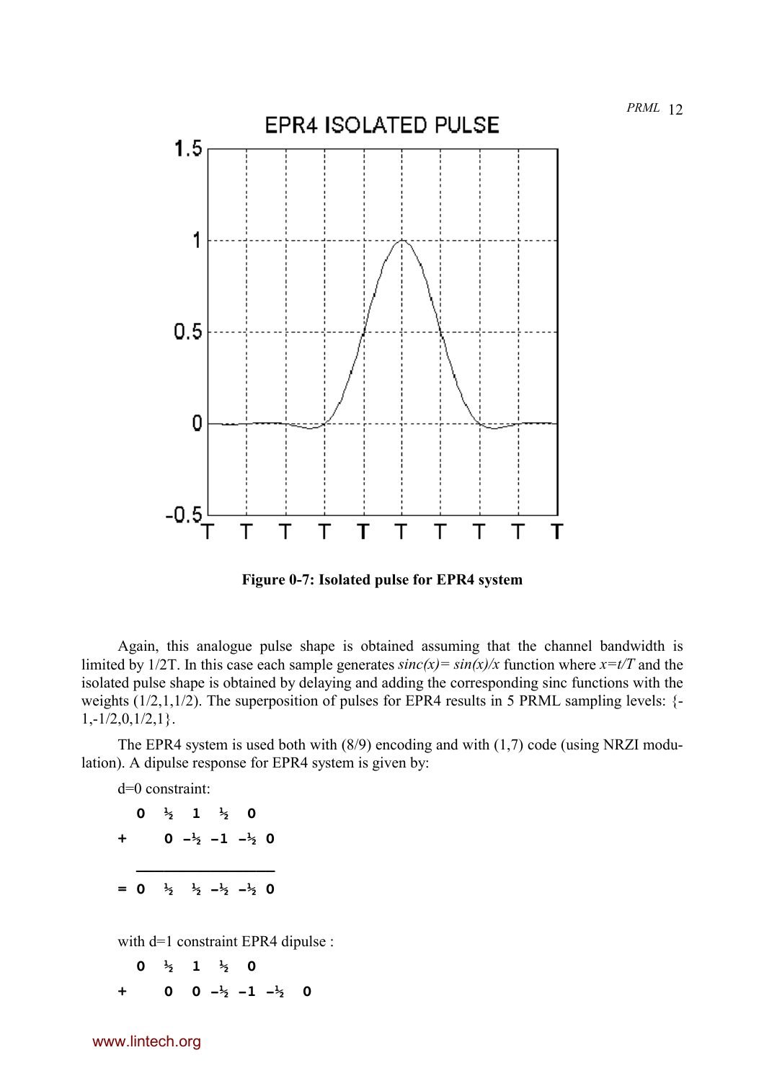<span id="page-12-0"></span>

**Figure 0-7: Isolated pulse for EPR4 system**

Again, this analogue pulse shape is obtained assuming that the channel bandwidth is limited by 1/2T. In this case each sample generates  $sinc(x) = sin(x)/x$  function where  $x=t/T$  and the isolated pulse shape is obtained by delaying and adding the corresponding sinc functions with the weights  $(1/2,1,1/2)$ . The superposition of pulses for EPR4 results in 5 PRML sampling levels:  $\{-\}$  $1,-1/2,0,1/2,1$ .

The EPR4 system is used both with (8/9) encoding and with (1,7) code (using NRZI modulation). A dipulse response for EPR4 system is given by:

d=0 constraint:

|           |  | 0 $\frac{1}{2}$ 1 $\frac{1}{2}$ 0 |                                                                   |  |
|-----------|--|-----------------------------------|-------------------------------------------------------------------|--|
| $\ddot{}$ |  |                                   | 0 $-\frac{1}{2}$ -1 $-\frac{1}{2}$ 0                              |  |
|           |  |                                   |                                                                   |  |
|           |  |                                   | $= 0$ $\frac{1}{2}$ $\frac{1}{2}$ $-\frac{1}{2}$ $-\frac{1}{2}$ 0 |  |

with d=1 constraint EPR4 dipulse :

 **0 ½ 1 ½ 0 + 0 0 -½ -1 -½ 0**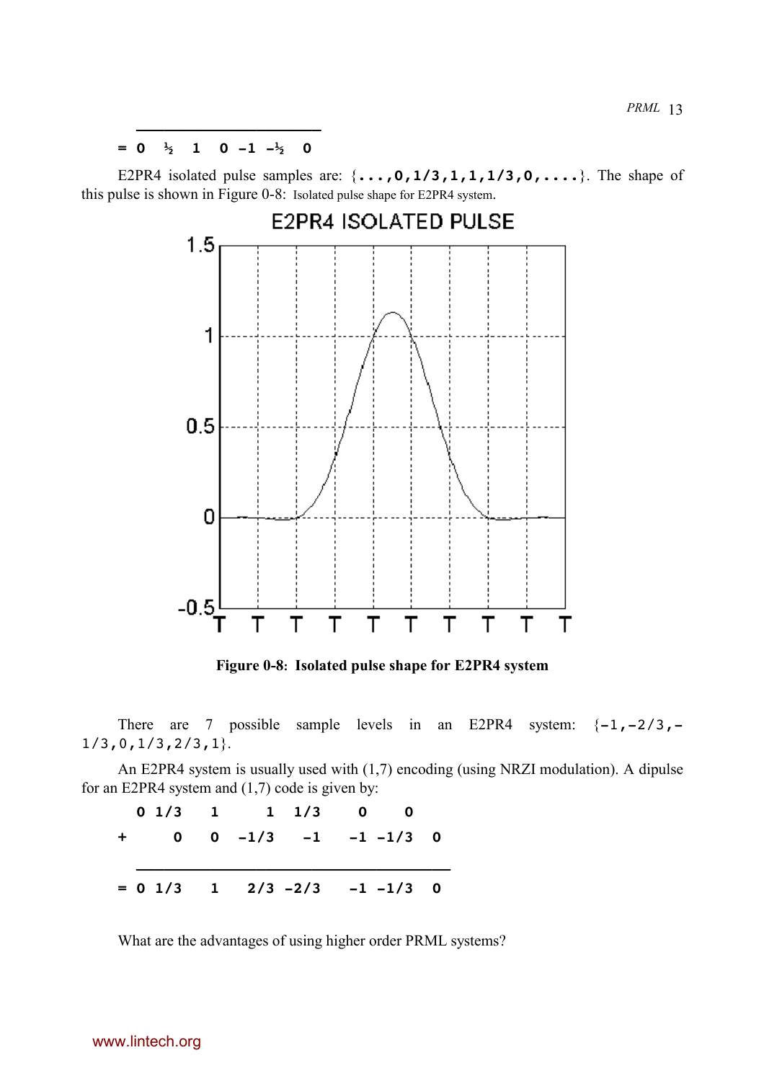<span id="page-13-0"></span>*PRML* <sup>13</sup> **\_\_\_\_\_\_\_\_\_\_\_\_\_\_\_\_\_\_\_\_**

 $= 0 \frac{1}{2}$  1 0  $-1 \frac{1}{2}$  0

E2PR4 isolated pulse samples are: {**...,0,1/3,1,1,1/3,0,....**}. The shape of this pulse is shown in Figure 0-8: Isolated pulse shape for E2PR4 system.



**Figure 0-8: Isolated pulse shape for E2PR4 system**

There are 7 possible sample levels in an E2PR4 system:  $\{-1,-2/3, 1/3, 0, 1/3, 2/3, 1$ 

An E2PR4 system is usually used with (1,7) encoding (using NRZI modulation). A dipulse for an E2PR4 system and (1,7) code is given by:

| $0 \t1/3 \t1 \t1 \t1/3 \t0 \t0$              |  |  |  |
|----------------------------------------------|--|--|--|
| $+$ 0 0 -1/3 -1 -1 -1/3 0                    |  |  |  |
|                                              |  |  |  |
| $= 0 \t1/3 \t1 \t2/3 \t-2/3 \t-1 \t-1/3 \t0$ |  |  |  |

What are the advantages of using higher order PRML systems?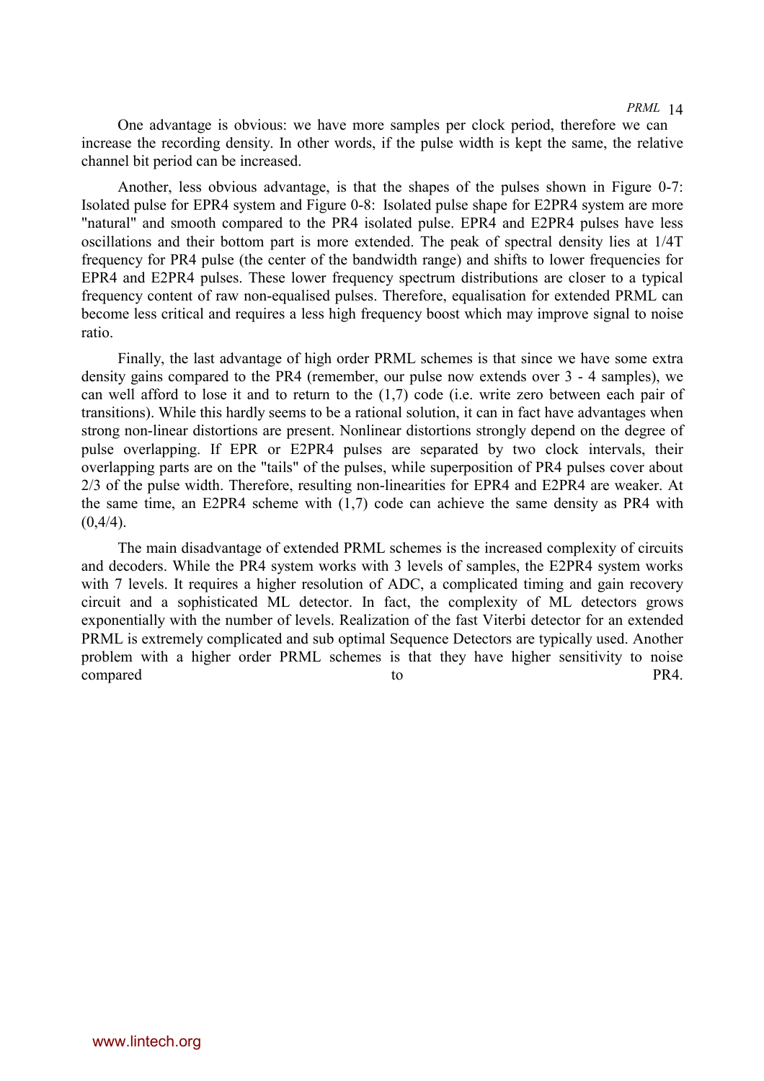One advantage is obvious: we have more samples per clock period, therefore we can increase the recording density. In other words, if the pulse width is kept the same, the relative channel bit period can be increased.

Another, less obvious advantage, is that the shapes of the pulses shown in [Figure 0-7:](#page-12-0) [Isolated pulse for EPR4 system](#page-12-0) and [Figure 0-8: Isolated pulse shape for E2PR4 system](#page-13-0) are more "natural" and smooth compared to the PR4 isolated pulse. EPR4 and E2PR4 pulses have less oscillations and their bottom part is more extended. The peak of spectral density lies at 1/4T frequency for PR4 pulse (the center of the bandwidth range) and shifts to lower frequencies for EPR4 and E2PR4 pulses. These lower frequency spectrum distributions are closer to a typical frequency content of raw non-equalised pulses. Therefore, equalisation for extended PRML can become less critical and requires a less high frequency boost which may improve signal to noise ratio.

Finally, the last advantage of high order PRML schemes is that since we have some extra density gains compared to the PR4 (remember, our pulse now extends over 3 - 4 samples), we can well afford to lose it and to return to the (1,7) code (i.e. write zero between each pair of transitions). While this hardly seems to be a rational solution, it can in fact have advantages when strong non-linear distortions are present. Nonlinear distortions strongly depend on the degree of pulse overlapping. If EPR or E2PR4 pulses are separated by two clock intervals, their overlapping parts are on the "tails" of the pulses, while superposition of PR4 pulses cover about 2/3 of the pulse width. Therefore, resulting non-linearities for EPR4 and E2PR4 are weaker. At the same time, an E2PR4 scheme with (1,7) code can achieve the same density as PR4 with  $(0.4/4)$ .

The main disadvantage of extended PRML schemes is the increased complexity of circuits and decoders. While the PR4 system works with 3 levels of samples, the E2PR4 system works with 7 levels. It requires a higher resolution of ADC, a complicated timing and gain recovery circuit and a sophisticated ML detector. In fact, the complexity of ML detectors grows exponentially with the number of levels. Realization of the fast Viterbi detector for an extended PRML is extremely complicated and sub optimal Sequence Detectors are typically used. Another problem with a higher order PRML schemes is that they have higher sensitivity to noise compared to to PR4.